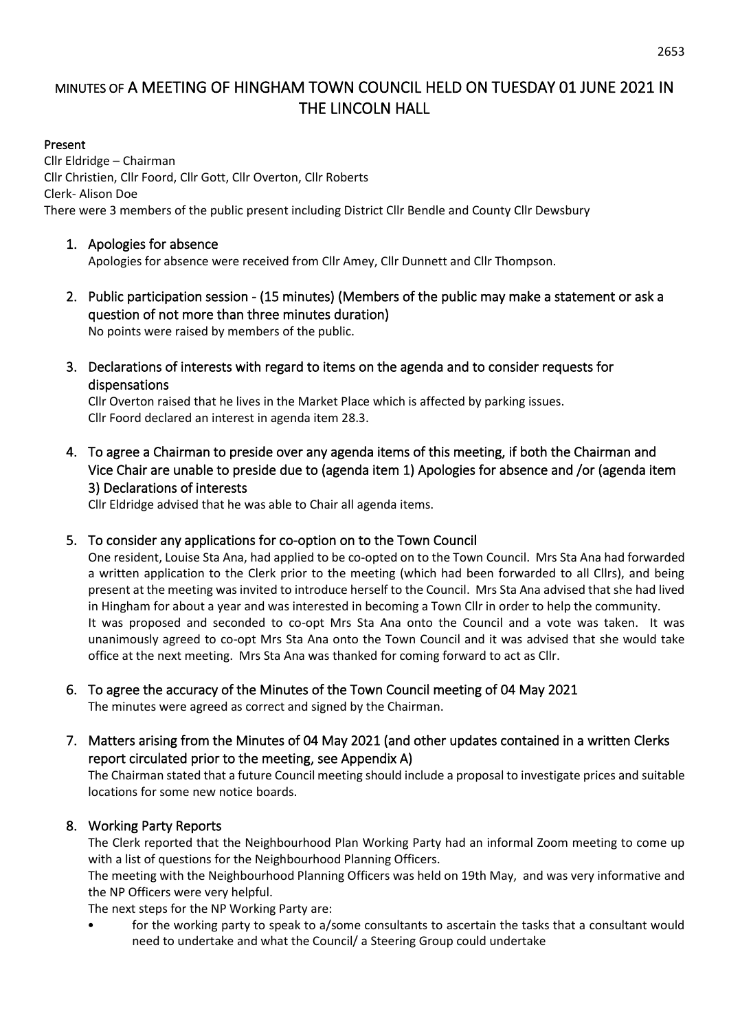# MINUTES OF A MEETING OF HINGHAM TOWN COUNCIL HELD ON TUESDAY 01 JUNE 2021 IN THE LINCOLN HALL

#### Present

Cllr Eldridge – Chairman Cllr Christien, Cllr Foord, Cllr Gott, Cllr Overton, Cllr Roberts Clerk- Alison Doe There were 3 members of the public present including District Cllr Bendle and County Cllr Dewsbury

#### 1. Apologies for absence

Apologies for absence were received from Cllr Amey, Cllr Dunnett and Cllr Thompson.

2. Public participation session - (15 minutes) (Members of the public may make a statement or ask a question of not more than three minutes duration) No points were raised by members of the public.

3. Declarations of interests with regard to items on the agenda and to consider requests for dispensations

Cllr Overton raised that he lives in the Market Place which is affected by parking issues. Cllr Foord declared an interest in agenda item 28.3.

4. To agree a Chairman to preside over any agenda items of this meeting, if both the Chairman and Vice Chair are unable to preside due to (agenda item 1) Apologies for absence and /or (agenda item 3) Declarations of interests

Cllr Eldridge advised that he was able to Chair all agenda items.

#### 5. To consider any applications for co-option on to the Town Council

One resident, Louise Sta Ana, had applied to be co-opted on to the Town Council. Mrs Sta Ana had forwarded a written application to the Clerk prior to the meeting (which had been forwarded to all Cllrs), and being present at the meeting was invited to introduce herself to the Council. Mrs Sta Ana advised that she had lived in Hingham for about a year and was interested in becoming a Town Cllr in order to help the community. It was proposed and seconded to co-opt Mrs Sta Ana onto the Council and a vote was taken. It was unanimously agreed to co-opt Mrs Sta Ana onto the Town Council and it was advised that she would take office at the next meeting. Mrs Sta Ana was thanked for coming forward to act as Cllr.

## 6. To agree the accuracy of the Minutes of the Town Council meeting of 04 May 2021

The minutes were agreed as correct and signed by the Chairman.

7. Matters arising from the Minutes of 04 May 2021 (and other updates contained in a written Clerks report circulated prior to the meeting, see Appendix A)

The Chairman stated that a future Council meeting should include a proposal to investigate prices and suitable locations for some new notice boards.

#### 8. Working Party Reports

The Clerk reported that the Neighbourhood Plan Working Party had an informal Zoom meeting to come up with a list of questions for the Neighbourhood Planning Officers.

The meeting with the Neighbourhood Planning Officers was held on 19th May, and was very informative and the NP Officers were very helpful.

The next steps for the NP Working Party are:

• for the working party to speak to a/some consultants to ascertain the tasks that a consultant would need to undertake and what the Council/ a Steering Group could undertake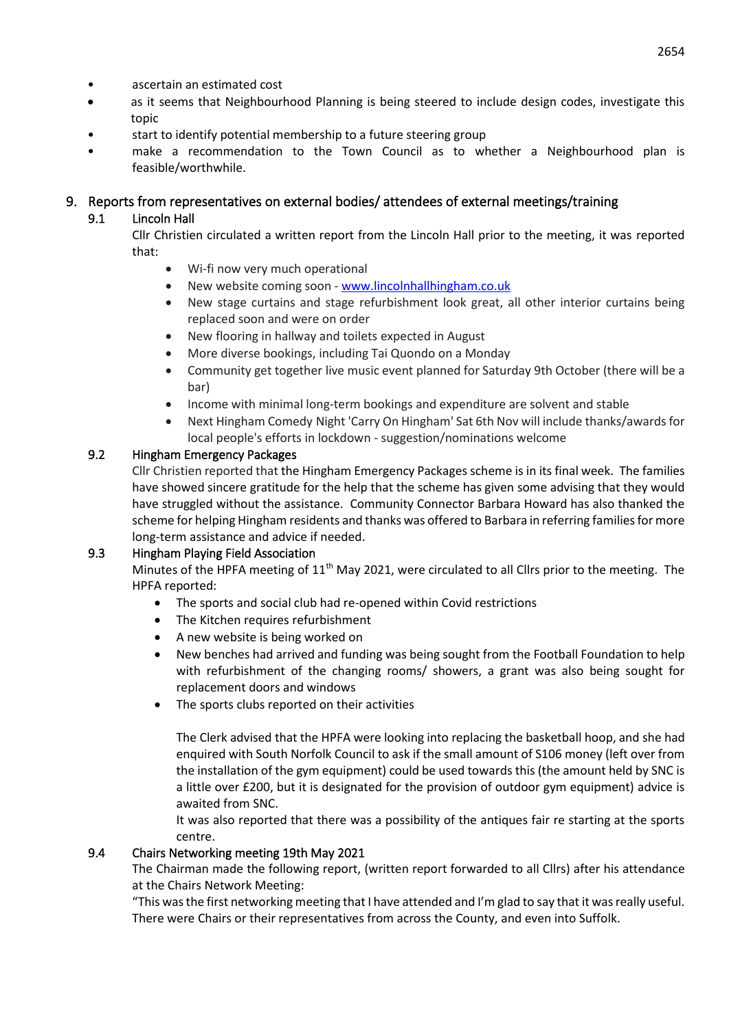- ascertain an estimated cost
- as it seems that Neighbourhood Planning is being steered to include design codes, investigate this topic
- start to identify potential membership to a future steering group
- make a recommendation to the Town Council as to whether a Neighbourhood plan is feasible/worthwhile.

## 9. Reports from representatives on external bodies/ attendees of external meetings/training

## 9.1 Lincoln Hall

Cllr Christien circulated a written report from the Lincoln Hall prior to the meeting, it was reported that:

- Wi-fi now very much operational
- New website coming soon [www.lincolnhallhingham.co.uk](http://www.lincolnhallhingham.co.uk/)
- New stage curtains and stage refurbishment look great, all other interior curtains being replaced soon and were on order
- New flooring in hallway and toilets expected in August
- More diverse bookings, including Tai Quondo on a Monday
- Community get together live music event planned for Saturday 9th October (there will be a bar)
- Income with minimal long-term bookings and expenditure are solvent and stable
- Next Hingham Comedy Night 'Carry On Hingham' Sat 6th Nov will include thanks/awards for local people's efforts in lockdown - suggestion/nominations welcome

## 9.2 Hingham Emergency Packages

Cllr Christien reported that the Hingham Emergency Packages scheme is in its final week. The families have showed sincere gratitude for the help that the scheme has given some advising that they would have struggled without the assistance. Community Connector Barbara Howard has also thanked the scheme for helping Hingham residents and thanks was offered to Barbara in referring families for more long-term assistance and advice if needed.

#### 9.3 Hingham Playing Field Association

Minutes of the HPFA meeting of  $11<sup>th</sup>$  May 2021, were circulated to all Cllrs prior to the meeting. The HPFA reported:

- The sports and social club had re-opened within Covid restrictions
- The Kitchen requires refurbishment
- A new website is being worked on
- New benches had arrived and funding was being sought from the Football Foundation to help with refurbishment of the changing rooms/ showers, a grant was also being sought for replacement doors and windows
- The sports clubs reported on their activities

The Clerk advised that the HPFA were looking into replacing the basketball hoop, and she had enquired with South Norfolk Council to ask if the small amount of S106 money (left over from the installation of the gym equipment) could be used towards this (the amount held by SNC is a little over £200, but it is designated for the provision of outdoor gym equipment) advice is awaited from SNC.

It was also reported that there was a possibility of the antiques fair re starting at the sports centre.

#### 9.4 Chairs Networking meeting 19th May 2021

The Chairman made the following report, (written report forwarded to all Cllrs) after his attendance at the Chairs Network Meeting:

"This was the first networking meeting that I have attended and I'm glad to say that it was really useful. There were Chairs or their representatives from across the County, and even into Suffolk.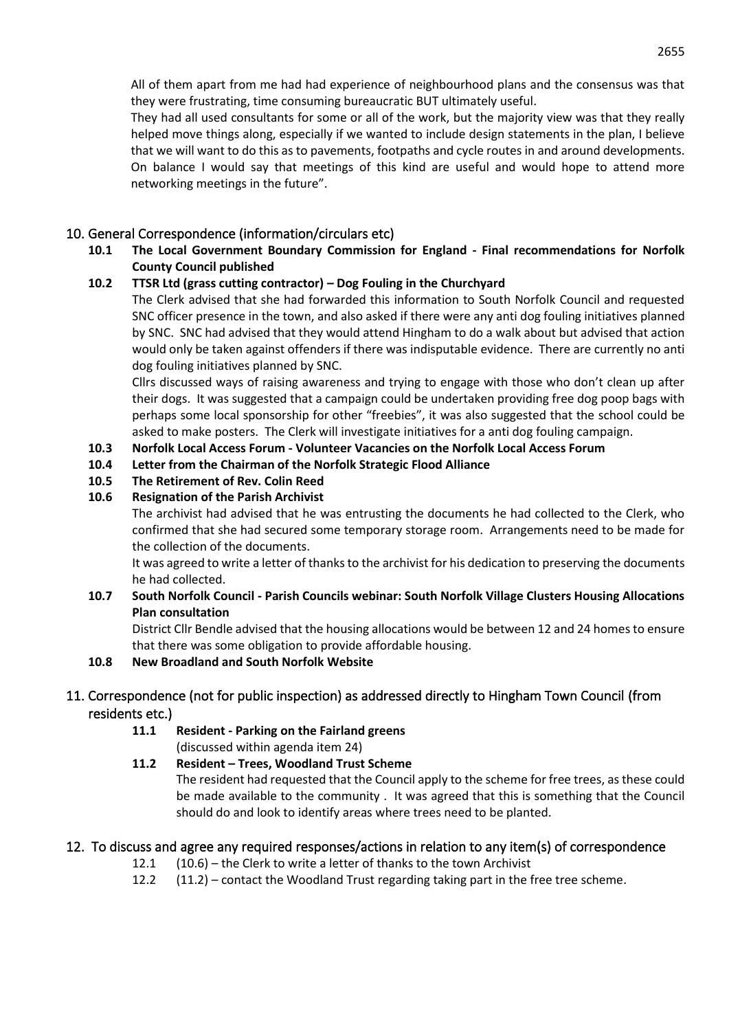All of them apart from me had had experience of neighbourhood plans and the consensus was that they were frustrating, time consuming bureaucratic BUT ultimately useful.

They had all used consultants for some or all of the work, but the majority view was that they really helped move things along, especially if we wanted to include design statements in the plan, I believe that we will want to do this as to pavements, footpaths and cycle routes in and around developments. On balance I would say that meetings of this kind are useful and would hope to attend more networking meetings in the future".

## 10. General Correspondence (information/circulars etc)

**10.1 The Local Government Boundary Commission for England - Final recommendations for Norfolk County Council published**

## **10.2 TTSR Ltd (grass cutting contractor) – Dog Fouling in the Churchyard**

The Clerk advised that she had forwarded this information to South Norfolk Council and requested SNC officer presence in the town, and also asked if there were any anti dog fouling initiatives planned by SNC. SNC had advised that they would attend Hingham to do a walk about but advised that action would only be taken against offenders if there was indisputable evidence. There are currently no anti dog fouling initiatives planned by SNC.

Cllrs discussed ways of raising awareness and trying to engage with those who don't clean up after their dogs. It was suggested that a campaign could be undertaken providing free dog poop bags with perhaps some local sponsorship for other "freebies", it was also suggested that the school could be asked to make posters. The Clerk will investigate initiatives for a anti dog fouling campaign.

- **10.3 Norfolk Local Access Forum - Volunteer Vacancies on the Norfolk Local Access Forum**
- **10.4 Letter from the Chairman of the Norfolk Strategic Flood Alliance**
- **10.5 The Retirement of Rev. Colin Reed**

### **10.6 Resignation of the Parish Archivist**

The archivist had advised that he was entrusting the documents he had collected to the Clerk, who confirmed that she had secured some temporary storage room. Arrangements need to be made for the collection of the documents.

It was agreed to write a letter of thanks to the archivist for his dedication to preserving the documents he had collected.

#### **10.7 South Norfolk Council - Parish Councils webinar: South Norfolk Village Clusters Housing Allocations Plan consultation**

District Cllr Bendle advised that the housing allocations would be between 12 and 24 homes to ensure that there was some obligation to provide affordable housing.

#### **10.8 New Broadland and South Norfolk Website**

## 11. Correspondence (not for public inspection) as addressed directly to Hingham Town Council (from residents etc.)

- **11.1 Resident - Parking on the Fairland greens** (discussed within agenda item 24)
- **11.2 Resident – Trees, Woodland Trust Scheme** The resident had requested that the Council apply to the scheme for free trees, as these could be made available to the community . It was agreed that this is something that the Council should do and look to identify areas where trees need to be planted.

## 12. To discuss and agree any required responses/actions in relation to any item(s) of correspondence

- 12.1 (10.6) the Clerk to write a letter of thanks to the town Archivist
- 12.2 (11.2) contact the Woodland Trust regarding taking part in the free tree scheme.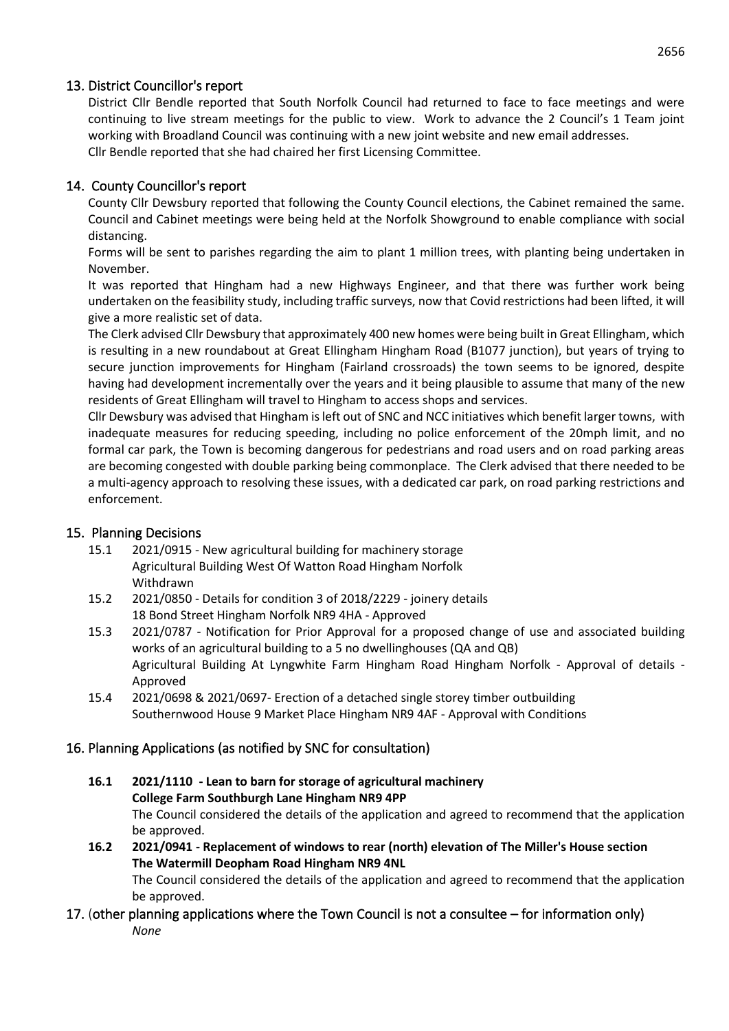## 13. District Councillor's report

District Cllr Bendle reported that South Norfolk Council had returned to face to face meetings and were continuing to live stream meetings for the public to view. Work to advance the 2 Council's 1 Team joint working with Broadland Council was continuing with a new joint website and new email addresses. Cllr Bendle reported that she had chaired her first Licensing Committee.

## 14. County Councillor's report

County Cllr Dewsbury reported that following the County Council elections, the Cabinet remained the same. Council and Cabinet meetings were being held at the Norfolk Showground to enable compliance with social distancing.

Forms will be sent to parishes regarding the aim to plant 1 million trees, with planting being undertaken in November.

It was reported that Hingham had a new Highways Engineer, and that there was further work being undertaken on the feasibility study, including traffic surveys, now that Covid restrictions had been lifted, it will give a more realistic set of data.

The Clerk advised Cllr Dewsbury that approximately 400 new homes were being built in Great Ellingham, which is resulting in a new roundabout at Great Ellingham Hingham Road (B1077 junction), but years of trying to secure junction improvements for Hingham (Fairland crossroads) the town seems to be ignored, despite having had development incrementally over the years and it being plausible to assume that many of the new residents of Great Ellingham will travel to Hingham to access shops and services.

Cllr Dewsbury was advised that Hingham is left out of SNC and NCC initiatives which benefit larger towns, with inadequate measures for reducing speeding, including no police enforcement of the 20mph limit, and no formal car park, the Town is becoming dangerous for pedestrians and road users and on road parking areas are becoming congested with double parking being commonplace. The Clerk advised that there needed to be a multi-agency approach to resolving these issues, with a dedicated car park, on road parking restrictions and enforcement.

## 15. Planning Decisions

- 15.1 2021/0915 New agricultural building for machinery storage Agricultural Building West Of Watton Road Hingham Norfolk Withdrawn
- 15.2 2021/0850 Details for condition 3 of 2018/2229 joinery details 18 Bond Street Hingham Norfolk NR9 4HA - Approved
- 15.3 2021/0787 Notification for Prior Approval for a proposed change of use and associated building works of an agricultural building to a 5 no dwellinghouses (QA and QB) Agricultural Building At Lyngwhite Farm Hingham Road Hingham Norfolk - Approval of details - Approved
- 15.4 2021/0698 & 2021/0697- Erection of a detached single storey timber outbuilding Southernwood House 9 Market Place Hingham NR9 4AF - Approval with Conditions

## 16. Planning Applications (as notified by SNC for consultation)

- **16.1 2021/1110 - Lean to barn for storage of agricultural machinery College Farm Southburgh Lane Hingham NR9 4PP** The Council considered the details of the application and agreed to recommend that the application be approved.
- **16.2 2021/0941 - Replacement of windows to rear (north) elevation of The Miller's House section The Watermill Deopham Road Hingham NR9 4NL** The Council considered the details of the application and agreed to recommend that the application be approved.

## 17. (other planning applications where the Town Council is not a consultee – for information only) *None*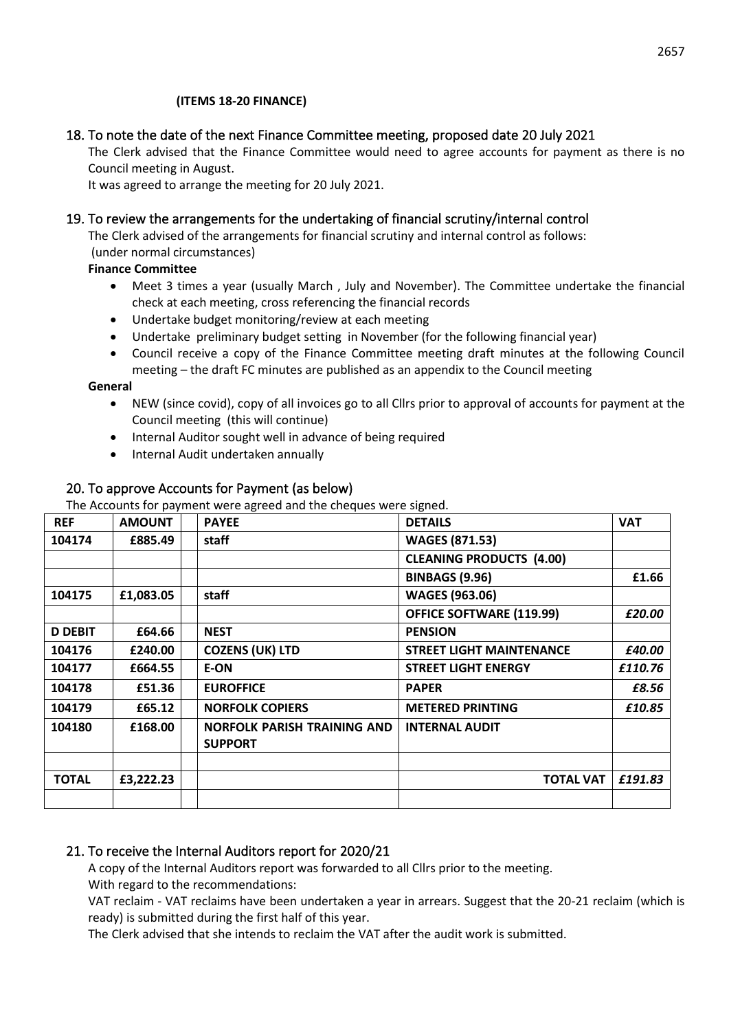#### **(ITEMS 18-20 FINANCE)**

## 18. To note the date of the next Finance Committee meeting, proposed date 20 July 2021

The Clerk advised that the Finance Committee would need to agree accounts for payment as there is no Council meeting in August.

It was agreed to arrange the meeting for 20 July 2021.

#### 19. To review the arrangements for the undertaking of financial scrutiny/internal control

The Clerk advised of the arrangements for financial scrutiny and internal control as follows: (under normal circumstances)

#### **Finance Committee**

- Meet 3 times a year (usually March , July and November). The Committee undertake the financial check at each meeting, cross referencing the financial records
- Undertake budget monitoring/review at each meeting
- Undertake preliminary budget setting in November (for the following financial year)
- Council receive a copy of the Finance Committee meeting draft minutes at the following Council meeting – the draft FC minutes are published as an appendix to the Council meeting

#### **General**

- NEW (since covid), copy of all invoices go to all Cllrs prior to approval of accounts for payment at the Council meeting (this will continue)
- Internal Auditor sought well in advance of being required
- Internal Audit undertaken annually

### 20. To approve Accounts for Payment (as below)

The Accounts for payment were agreed and the cheques were signed.

| <b>REF</b>     | <b>AMOUNT</b> | <b>PAYEE</b>                                         | <b>DETAILS</b>                  | <b>VAT</b> |
|----------------|---------------|------------------------------------------------------|---------------------------------|------------|
| 104174         | £885.49       | staff                                                | <b>WAGES (871.53)</b>           |            |
|                |               |                                                      | <b>CLEANING PRODUCTS (4.00)</b> |            |
|                |               |                                                      | <b>BINBAGS (9.96)</b>           | £1.66      |
| 104175         | £1,083.05     | staff                                                | <b>WAGES (963.06)</b>           |            |
|                |               |                                                      | <b>OFFICE SOFTWARE (119.99)</b> | £20.00     |
| <b>D DEBIT</b> | £64.66        | <b>NEST</b>                                          | <b>PENSION</b>                  |            |
| 104176         | £240.00       | <b>COZENS (UK) LTD</b>                               | <b>STREET LIGHT MAINTENANCE</b> | £40.00     |
| 104177         | £664.55       | <b>E-ON</b>                                          | <b>STREET LIGHT ENERGY</b>      | £110.76    |
| 104178         | £51.36        | <b>EUROFFICE</b>                                     | <b>PAPER</b>                    | £8.56      |
| 104179         | £65.12        | <b>NORFOLK COPIERS</b>                               | <b>METERED PRINTING</b>         | £10.85     |
| 104180         | £168.00       | <b>NORFOLK PARISH TRAINING AND</b><br><b>SUPPORT</b> | <b>INTERNAL AUDIT</b>           |            |
|                |               |                                                      |                                 |            |
| <b>TOTAL</b>   | £3,222.23     |                                                      | <b>TOTAL VAT</b>                | £191.83    |
|                |               |                                                      |                                 |            |

## 21. To receive the Internal Auditors report for 2020/21

A copy of the Internal Auditors report was forwarded to all Cllrs prior to the meeting.

With regard to the recommendations:

VAT reclaim - VAT reclaims have been undertaken a year in arrears. Suggest that the 20-21 reclaim (which is ready) is submitted during the first half of this year.

The Clerk advised that she intends to reclaim the VAT after the audit work is submitted.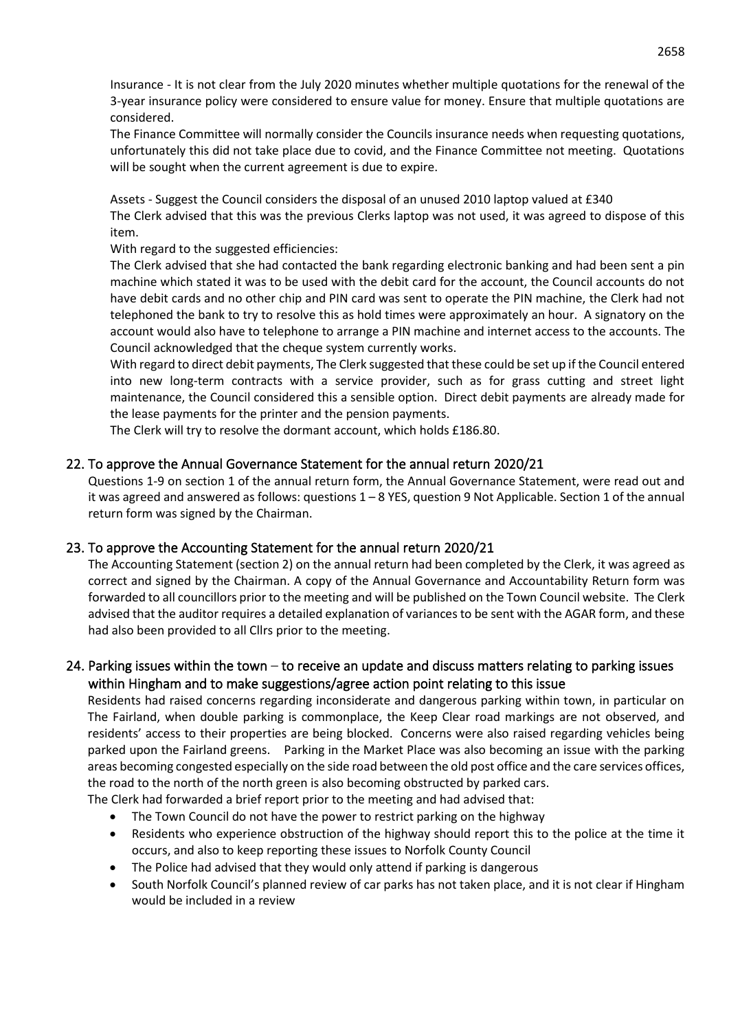Insurance - It is not clear from the July 2020 minutes whether multiple quotations for the renewal of the 3-year insurance policy were considered to ensure value for money. Ensure that multiple quotations are considered.

The Finance Committee will normally consider the Councils insurance needs when requesting quotations, unfortunately this did not take place due to covid, and the Finance Committee not meeting. Quotations will be sought when the current agreement is due to expire.

Assets - Suggest the Council considers the disposal of an unused 2010 laptop valued at £340

The Clerk advised that this was the previous Clerks laptop was not used, it was agreed to dispose of this item.

With regard to the suggested efficiencies:

The Clerk advised that she had contacted the bank regarding electronic banking and had been sent a pin machine which stated it was to be used with the debit card for the account, the Council accounts do not have debit cards and no other chip and PIN card was sent to operate the PIN machine, the Clerk had not telephoned the bank to try to resolve this as hold times were approximately an hour. A signatory on the account would also have to telephone to arrange a PIN machine and internet access to the accounts. The Council acknowledged that the cheque system currently works.

With regard to direct debit payments, The Clerk suggested that these could be set up if the Council entered into new long-term contracts with a service provider, such as for grass cutting and street light maintenance, the Council considered this a sensible option. Direct debit payments are already made for the lease payments for the printer and the pension payments.

The Clerk will try to resolve the dormant account, which holds £186.80.

#### 22. To approve the Annual Governance Statement for the annual return 2020/21

Questions 1-9 on section 1 of the annual return form, the Annual Governance Statement, were read out and it was agreed and answered as follows: questions 1 – 8 YES, question 9 Not Applicable. Section 1 of the annual return form was signed by the Chairman.

#### 23. To approve the Accounting Statement for the annual return 2020/21

The Accounting Statement (section 2) on the annual return had been completed by the Clerk, it was agreed as correct and signed by the Chairman. A copy of the Annual Governance and Accountability Return form was forwarded to all councillors prior to the meeting and will be published on the Town Council website. The Clerk advised that the auditor requires a detailed explanation of variances to be sent with the AGAR form, and these had also been provided to all Cllrs prior to the meeting.

### 24. Parking issues within the town  $-$  to receive an update and discuss matters relating to parking issues within Hingham and to make suggestions/agree action point relating to this issue

Residents had raised concerns regarding inconsiderate and dangerous parking within town, in particular on The Fairland, when double parking is commonplace, the Keep Clear road markings are not observed, and residents' access to their properties are being blocked. Concerns were also raised regarding vehicles being parked upon the Fairland greens. Parking in the Market Place was also becoming an issue with the parking areas becoming congested especially on the side road between the old post office and the care services offices, the road to the north of the north green is also becoming obstructed by parked cars.

The Clerk had forwarded a brief report prior to the meeting and had advised that:

- The Town Council do not have the power to restrict parking on the highway
- Residents who experience obstruction of the highway should report this to the police at the time it occurs, and also to keep reporting these issues to Norfolk County Council
- The Police had advised that they would only attend if parking is dangerous
- South Norfolk Council's planned review of car parks has not taken place, and it is not clear if Hingham would be included in a review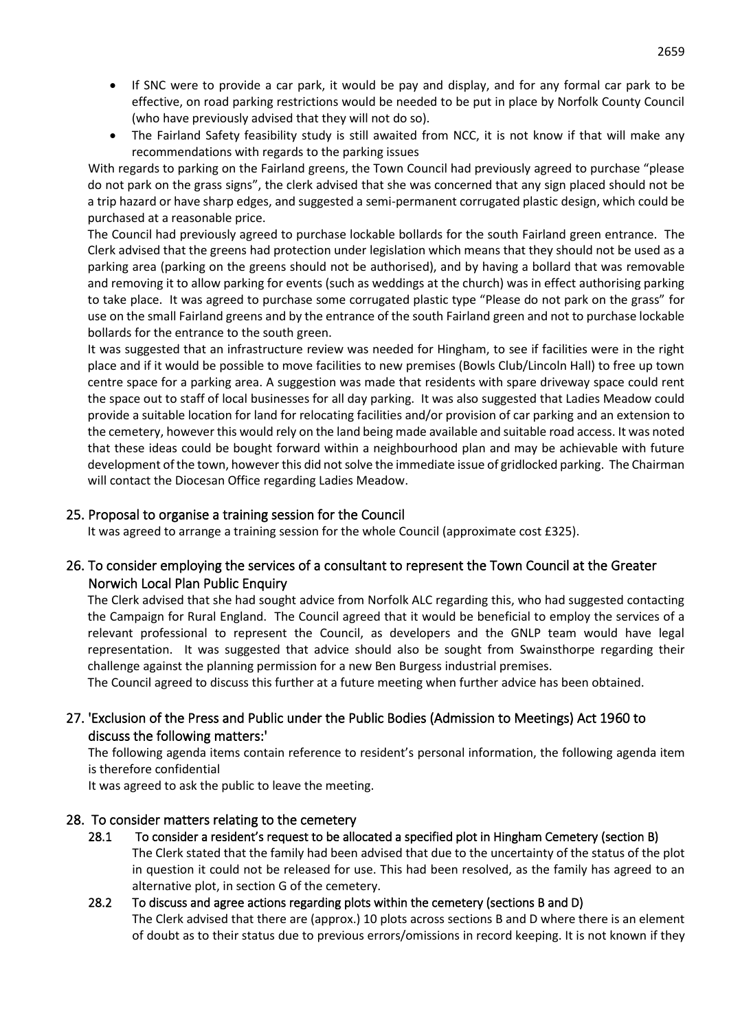- If SNC were to provide a car park, it would be pay and display, and for any formal car park to be effective, on road parking restrictions would be needed to be put in place by Norfolk County Council (who have previously advised that they will not do so).
- The Fairland Safety feasibility study is still awaited from NCC, it is not know if that will make any recommendations with regards to the parking issues

With regards to parking on the Fairland greens, the Town Council had previously agreed to purchase "please do not park on the grass signs", the clerk advised that she was concerned that any sign placed should not be a trip hazard or have sharp edges, and suggested a semi-permanent corrugated plastic design, which could be purchased at a reasonable price.

The Council had previously agreed to purchase lockable bollards for the south Fairland green entrance. The Clerk advised that the greens had protection under legislation which means that they should not be used as a parking area (parking on the greens should not be authorised), and by having a bollard that was removable and removing it to allow parking for events (such as weddings at the church) was in effect authorising parking to take place. It was agreed to purchase some corrugated plastic type "Please do not park on the grass" for use on the small Fairland greens and by the entrance of the south Fairland green and not to purchase lockable bollards for the entrance to the south green.

It was suggested that an infrastructure review was needed for Hingham, to see if facilities were in the right place and if it would be possible to move facilities to new premises (Bowls Club/Lincoln Hall) to free up town centre space for a parking area. A suggestion was made that residents with spare driveway space could rent the space out to staff of local businesses for all day parking. It was also suggested that Ladies Meadow could provide a suitable location for land for relocating facilities and/or provision of car parking and an extension to the cemetery, however this would rely on the land being made available and suitable road access. It was noted that these ideas could be bought forward within a neighbourhood plan and may be achievable with future development of the town, however this did not solve the immediate issue of gridlocked parking. The Chairman will contact the Diocesan Office regarding Ladies Meadow.

#### 25. Proposal to organise a training session for the Council

It was agreed to arrange a training session for the whole Council (approximate cost £325).

### 26. To consider employing the services of a consultant to represent the Town Council at the Greater Norwich Local Plan Public Enquiry

The Clerk advised that she had sought advice from Norfolk ALC regarding this, who had suggested contacting the Campaign for Rural England. The Council agreed that it would be beneficial to employ the services of a relevant professional to represent the Council, as developers and the GNLP team would have legal representation. It was suggested that advice should also be sought from Swainsthorpe regarding their challenge against the planning permission for a new Ben Burgess industrial premises.

The Council agreed to discuss this further at a future meeting when further advice has been obtained.

### 27. 'Exclusion of the Press and Public under the Public Bodies (Admission to Meetings) Act 1960 to discuss the following matters:'

The following agenda items contain reference to resident's personal information, the following agenda item is therefore confidential

It was agreed to ask the public to leave the meeting.

#### 28. To consider matters relating to the cemetery

28.1 To consider a resident's request to be allocated a specified plot in Hingham Cemetery (section B) The Clerk stated that the family had been advised that due to the uncertainty of the status of the plot in question it could not be released for use. This had been resolved, as the family has agreed to an alternative plot, in section G of the cemetery.

## 28.2 To discuss and agree actions regarding plots within the cemetery (sections B and D) The Clerk advised that there are (approx.) 10 plots across sections B and D where there is an element of doubt as to their status due to previous errors/omissions in record keeping. It is not known if they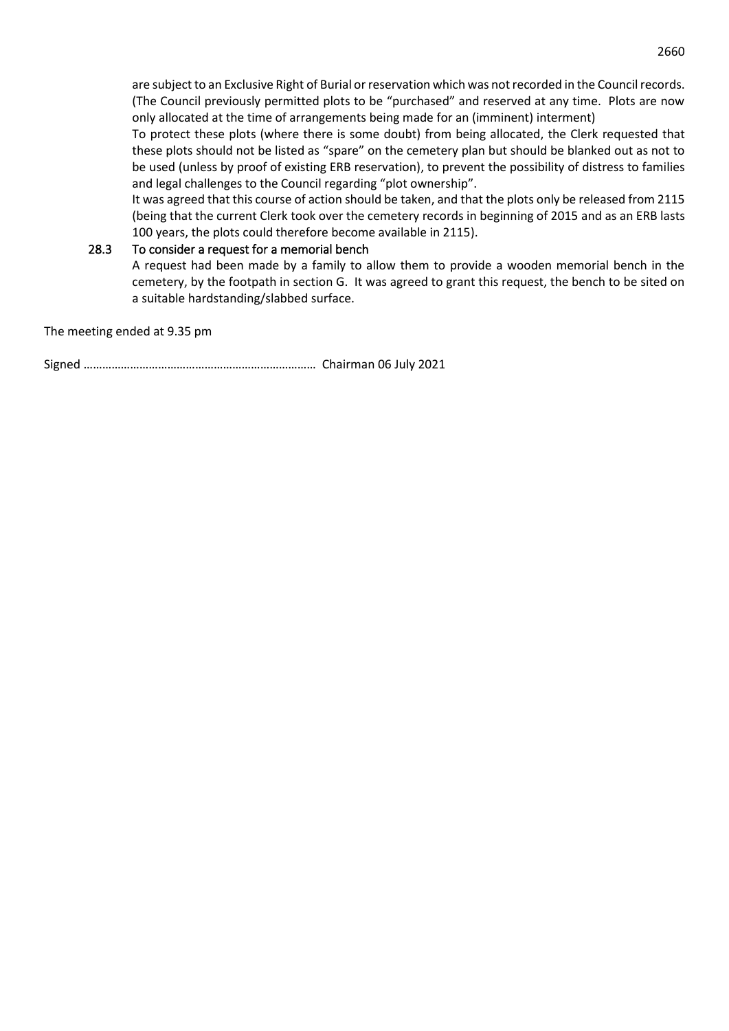are subject to an Exclusive Right of Burial or reservation which was not recorded in the Council records. (The Council previously permitted plots to be "purchased" and reserved at any time. Plots are now only allocated at the time of arrangements being made for an (imminent) interment)

To protect these plots (where there is some doubt) from being allocated, the Clerk requested that these plots should not be listed as "spare" on the cemetery plan but should be blanked out as not to be used (unless by proof of existing ERB reservation), to prevent the possibility of distress to families and legal challenges to the Council regarding "plot ownership".

It was agreed that this course of action should be taken, and that the plots only be released from 2115 (being that the current Clerk took over the cemetery records in beginning of 2015 and as an ERB lasts 100 years, the plots could therefore become available in 2115).

#### 28.3 To consider a request for a memorial bench

A request had been made by a family to allow them to provide a wooden memorial bench in the cemetery, by the footpath in section G. It was agreed to grant this request, the bench to be sited on a suitable hardstanding/slabbed surface.

The meeting ended at 9.35 pm

Signed ………………………………………………………………… Chairman 06 July 2021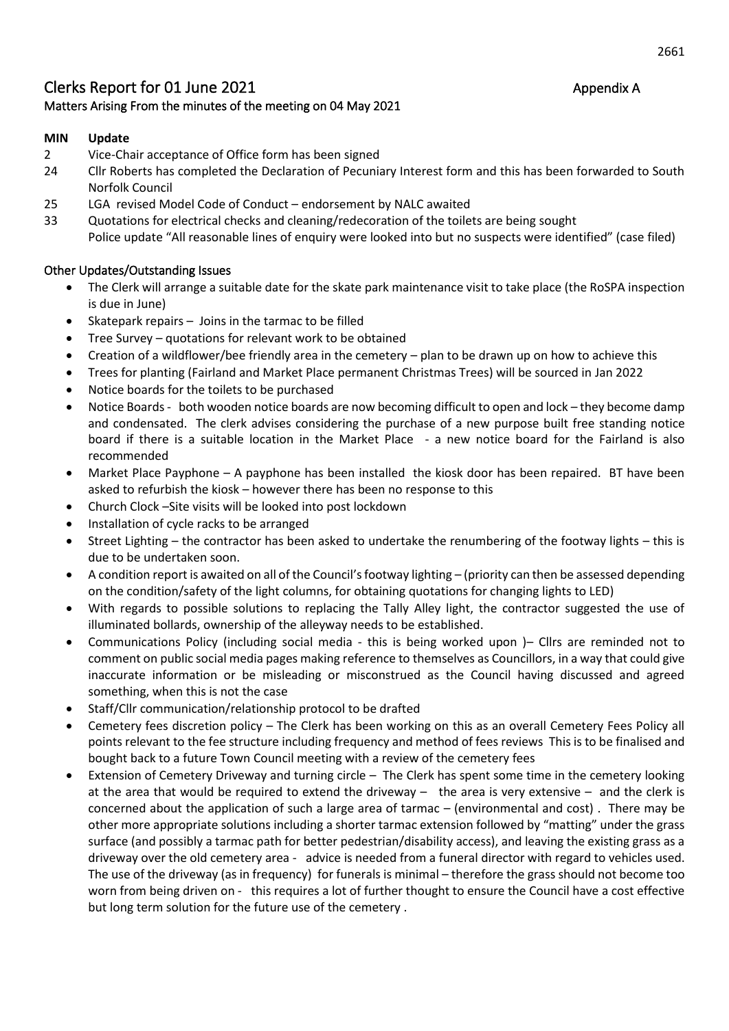## Clerks Report for 01 June 2021 Appendix A Matters Arising From the minutes of the meeting on 04 May 2021

#### **MIN Update**

- 2 Vice-Chair acceptance of Office form has been signed
- 24 Cllr Roberts has completed the Declaration of Pecuniary Interest form and this has been forwarded to South Norfolk Council
- 25 LGA revised Model Code of Conduct endorsement by NALC awaited
- 33 Quotations for electrical checks and cleaning/redecoration of the toilets are being sought Police update "All reasonable lines of enquiry were looked into but no suspects were identified" (case filed)

#### Other Updates/Outstanding Issues

- The Clerk will arrange a suitable date for the skate park maintenance visit to take place (the RoSPA inspection is due in June)
- Skatepark repairs  $-$  Joins in the tarmac to be filled
- Tree Survey quotations for relevant work to be obtained
- Creation of a wildflower/bee friendly area in the cemetery plan to be drawn up on how to achieve this
- Trees for planting (Fairland and Market Place permanent Christmas Trees) will be sourced in Jan 2022
- Notice boards for the toilets to be purchased
- Notice Boards both wooden notice boards are now becoming difficult to open and lock they become damp and condensated. The clerk advises considering the purchase of a new purpose built free standing notice board if there is a suitable location in the Market Place - a new notice board for the Fairland is also recommended
- Market Place Payphone A payphone has been installed the kiosk door has been repaired. BT have been asked to refurbish the kiosk – however there has been no response to this
- Church Clock –Site visits will be looked into post lockdown
- Installation of cycle racks to be arranged
- Street Lighting the contractor has been asked to undertake the renumbering of the footway lights this is due to be undertaken soon.
- A condition report is awaited on all of the Council's footway lighting (priority can then be assessed depending on the condition/safety of the light columns, for obtaining quotations for changing lights to LED)
- With regards to possible solutions to replacing the Tally Alley light, the contractor suggested the use of illuminated bollards, ownership of the alleyway needs to be established.
- Communications Policy (including social media this is being worked upon )– Cllrs are reminded not to comment on public social media pages making reference to themselves as Councillors, in a way that could give inaccurate information or be misleading or misconstrued as the Council having discussed and agreed something, when this is not the case
- Staff/Cllr communication/relationship protocol to be drafted
- Cemetery fees discretion policy The Clerk has been working on this as an overall Cemetery Fees Policy all points relevant to the fee structure including frequency and method of fees reviews This is to be finalised and bought back to a future Town Council meeting with a review of the cemetery fees
- Extension of Cemetery Driveway and turning circle The Clerk has spent some time in the cemetery looking at the area that would be required to extend the driveway – the area is very extensive – and the clerk is concerned about the application of such a large area of tarmac – (environmental and cost) . There may be other more appropriate solutions including a shorter tarmac extension followed by "matting" under the grass surface (and possibly a tarmac path for better pedestrian/disability access), and leaving the existing grass as a driveway over the old cemetery area - advice is needed from a funeral director with regard to vehicles used. The use of the driveway (as in frequency) for funerals is minimal – therefore the grass should not become too worn from being driven on - this requires a lot of further thought to ensure the Council have a cost effective but long term solution for the future use of the cemetery .